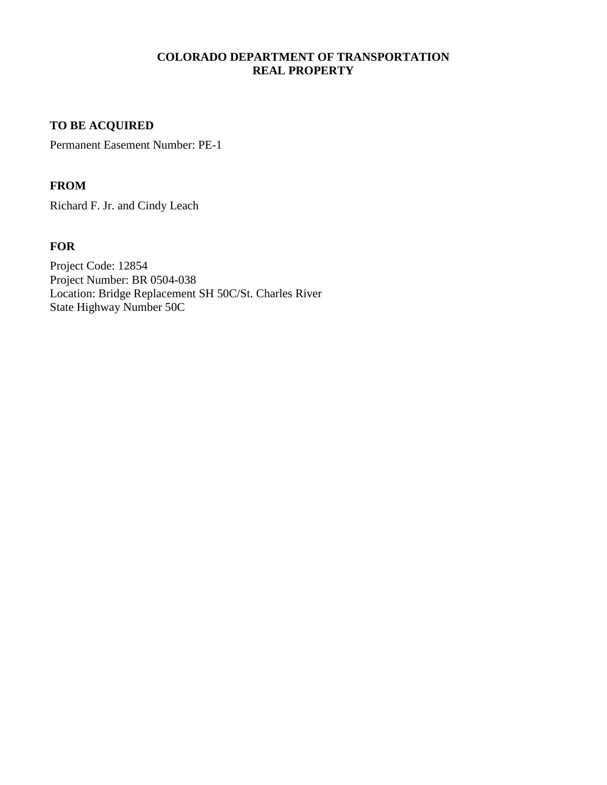## **COLORADO DEPARTMENT OF TRANSPORTATION REAL PROPERTY**

# **TO BE ACQUIRED**

Permanent Easement Number: PE-1

## **FROM**

Richard F. Jr. and Cindy Leach

# **FOR**

Project Code: 12854 Project Number: BR 0504-038 Location: Bridge Replacement SH 50C/St. Charles River State Highway Number 50C